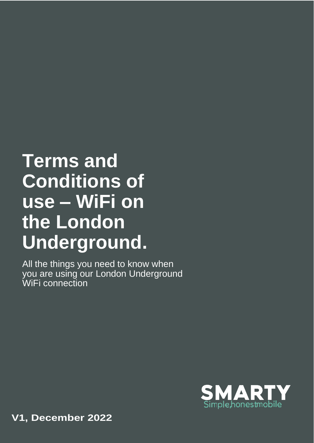# **Terms and Conditions of use – WiFi on the London Underground.**

All the things you need to know when you are using our London Underground WiFi connection



**V1, December 2022**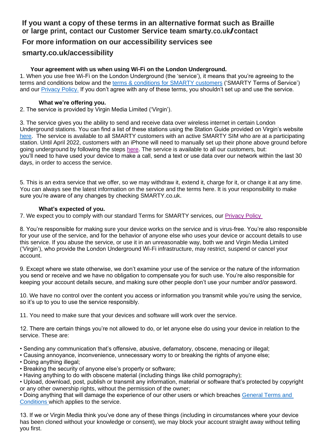# **If you want a copy of these terms in an alternative format such as Braille or large print, contact our Customer Service team smarty.co.uk/contact**

# **For more information on our accessibility services see**

## **smarty.co.uk/accessibility**

## **Your agreement with us when using Wi-Fi on the London Underground.**

1. When you use free Wi-Fi on the London Underground (the 'service'), it means that you're agreeing to the terms and conditions below and the [terms & conditions for SMARTY customers](https://cdn.smarty.co.uk/files/SMARTY-Terms-And-Conditions.pdf) ('SMARTY Terms of Service') and our [Privacy Policy.](https://cdn.smarty.co.uk/files/SMARTY-Online-Privacy-Policy.pdf) If you don't agree with any of these terms, you shouldn't set up and use the service.

### **What we're offering you.**

2. The service is provided by Virgin Media Limited ('Virgin').

3. The service gives you the ability to send and receive data over wireless internet in certain London Underground stations. You can find a list of these stations using the Station Guide provided on Virgin's website [here.](https://eur01.safelinks.protection.outlook.com/?url=http%3A%2F%2Fmy.virginmedia.com%2Fwifi%2Fstation-guide.html&data=04%7C01%7CGeorgia.Puttock2%40three.co.uk%7Cdb382c265b844227ed6e08d9c494152a%7Ca095b75b77a24e28afc227edd1d6b0ab%7C1%7C0%7C637756962548670865%7CUnknown%7CTWFpbGZsb3d8eyJWIjoiMC4wLjAwMDAiLCJQIjoiV2luMzIiLCJBTiI6Ik1haWwiLCJXVCI6Mn0%3D%7C3000&sdata=%2Ft9st4iXiue2tINTLtzgKmzTDcHrkl9YbCqy2t4gDQA%3D&reserved=0) The service is available to all SMARTY customers with an active SMARTY SIM who are at a participating station. Until April 2022, customers with an iPhone will need to manually set up their phone above ground before going underground by following the steps [here.](https://help.smarty.co.uk/en/articles/5830528-free-wi-fi-on-london-underground) The service is available to all our customers, but: you'll need to have used your device to make a call, send a text or use data over our network within the last 30 days, in order to access the service.

5. This is an extra service that we offer, so we may withdraw it, extend it, charge for it, or change it at any time. You can always see the latest information on the service and the terms here. It is your responsibility to make sure you're aware of any changes by checking SMARTY.co.uk.

### **What's expected of you.**

7. We expect you to comply with our standard Terms for SMARTY services, our [Privacy Policy](https://cdn.smarty.co.uk/files/SMARTY-Online-Privacy-Policy.pdf)

8. You're responsible for making sure your device works on the service and is virus-free. You're also responsible for your use of the service, and for the behavior of anyone else who uses your device or account details to use this service. If you abuse the service, or use it in an unreasonable way, both we and Virgin Media Limited ('Virgin'), who provide the London Underground Wi-Fi infrastructure, may restrict, suspend or cancel your account.

9. Except where we state otherwise, we don't examine your use of the service or the nature of the information you send or receive and we have no obligation to compensate you for such use. You're also responsible for keeping your account details secure, and making sure other people don't use your number and/or password.

10. We have no control over the content you access or information you transmit while you're using the service, so it's up to you to use the service responsibly.

11. You need to make sure that your devices and software will work over the service.

12. There are certain things you're not allowed to do, or let anyone else do using your device in relation to the service. These are:

• Sending any communication that's offensive, abusive, defamatory, obscene, menacing or illegal;

- Causing annoyance, inconvenience, unnecessary worry to or breaking the rights of anyone else;
- Doing anything illegal;
- Breaking the security of anyone else's property or software;
- Having anything to do with obscene material (including things like child pornography);
- Upload, download, post, publish or transmit any information, material or software that's protected by copyright or any other ownership rights, without the permission of the owner;

• Doing anything that will damage the experience of our other users or which breaches [General Terms and](https://cdn.smarty.co.uk/files/SMARTY-Terms-And-Conditions.pdf)  [Conditions](https://cdn.smarty.co.uk/files/SMARTY-Terms-And-Conditions.pdf) which applies to the service.

13. If we or Virgin Media think you've done any of these things (including in circumstances where your device has been cloned without your knowledge or consent), we may block your account straight away without telling you first.